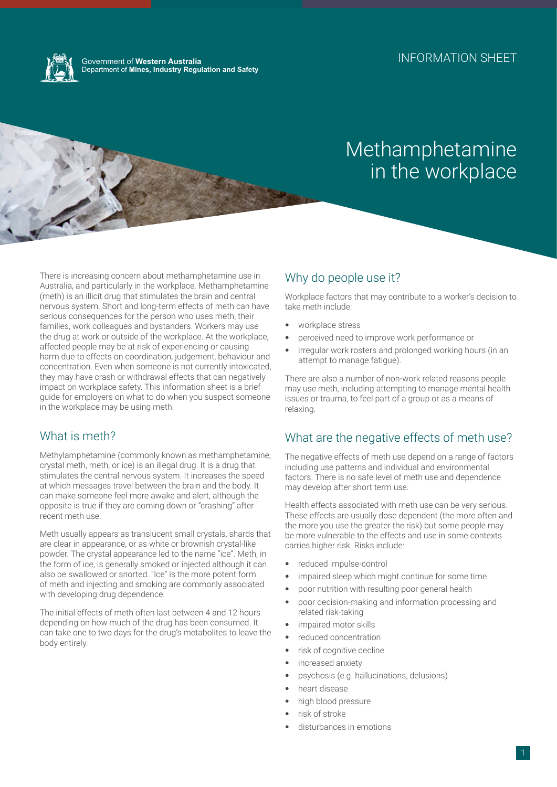

Government of **Western Australia** Department of **Mines, Industry Regulation and Safety**

# Methamphetamine in the workplace

There is increasing concern about methamphetamine use in Australia, and particularly in the workplace. Methamphetamine (meth) is an illicit drug that stimulates the brain and central nervous system. Short and long-term effects of meth can have serious consequences for the person who uses meth, their families, work colleagues and bystanders. Workers may use the drug at work or outside of the workplace. At the workplace, affected people may be at risk of experiencing or causing harm due to effects on coordination, judgement, behaviour and concentration. Even when someone is not currently intoxicated, they may have crash or withdrawal effects that can negatively impact on workplace safety. This information sheet is a brief guide for employers on what to do when you suspect someone in the workplace may be using meth.

# What is meth?

Methylamphetamine (commonly known as methamphetamine, crystal meth, meth, or ice) is an illegal drug. It is a drug that stimulates the central nervous system. It increases the speed at which messages travel between the brain and the body. It can make someone feel more awake and alert, although the opposite is true if they are coming down or "crashing" after recent meth use.

Meth usually appears as translucent small crystals, shards that are clear in appearance, or as white or brownish crystal-like powder. The crystal appearance led to the name "ice". Meth, in the form of ice, is generally smoked or injected although it can also be swallowed or snorted. "Ice" is the more potent form of meth and injecting and smoking are commonly associated with developing drug dependence.

The initial effects of meth often last between 4 and 12 hours depending on how much of the drug has been consumed. It can take one to two days for the drug's metabolites to leave the body entirely.

# Why do people use it?

Workplace factors that may contribute to a worker's decision to take meth include:

- workplace stress
- perceived need to improve work performance or
- irregular work rosters and prolonged working hours (in an attempt to manage fatigue).

There are also a number of non-work related reasons people may use meth, including attempting to manage mental health issues or trauma, to feel part of a group or as a means of relaxing.

# What are the negative effects of meth use?

The negative effects of meth use depend on a range of factors including use patterns and individual and environmental factors. There is no safe level of meth use and dependence may develop after short term use.

Health effects associated with meth use can be very serious. These effects are usually dose dependent (the more often and the more you use the greater the risk) but some people may be more vulnerable to the effects and use in some contexts carries higher risk. Risks include:

- reduced impulse-control
- impaired sleep which might continue for some time
- poor nutrition with resulting poor general health
- poor decision-making and information processing and related risk-taking
- impaired motor skills
- reduced concentration
- risk of cognitive decline
- increased anxiety
- psychosis (e.g. hallucinations, delusions)
- heart disease
- high blood pressure
- risk of stroke
- disturbances in emotions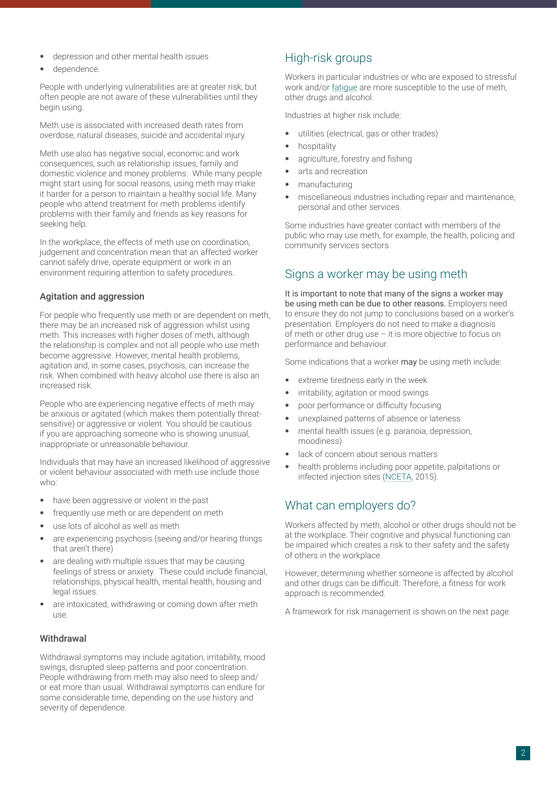- depression and other mental health issues
- dependence.

People with underlying vulnerabilities are at greater risk, but often people are not aware of these vulnerabilities until they begin using.

Meth use is associated with increased death rates from overdose, natural diseases, suicide and accidental injury.

Meth use also has negative social, economic and work consequences, such as relationship issues, family and domestic violence and money problems. While many people might start using for social reasons, using meth may make it harder for a person to maintain a healthy social life. Many people who attend treatment for meth problems identify problems with their family and friends as key reasons for seeking help.

In the workplace, the effects of meth use on coordination, judgement and concentration mean that an affected worker cannot safely drive, operate equipment or work in an environment requiring attention to safety procedures.

### Agitation and aggression

For people who frequently use meth or are dependent on meth, there may be an increased risk of aggression whilst using meth. This increases with higher doses of meth, although the relationship is complex and not all people who use meth become aggressive. However, mental health problems, agitation and, in some cases, psychosis, can increase the risk. When combined with heavy alcohol use there is also an increased risk.

People who are experiencing negative effects of meth may be anxious or agitated (which makes them potentially threatsensitive) or aggressive or violent. You should be cautious if you are approaching someone who is showing unusual, inappropriate or unreasonable behaviour.

Individuals that may have an increased likelihood of aggressive or violent behaviour associated with meth use include those who:

- have been aggressive or violent in the past
- frequently use meth or are dependent on meth
- use lots of alcohol as well as meth
- are experiencing psychosis (seeing and/or hearing things that aren't there)
- are dealing with multiple issues that may be causing feelings of stress or anxiety. These could include financial, relationships, physical health, mental health, housing and legal issues.
- are intoxicated, withdrawing or coming down after meth use.

### **Withdrawal**

Withdrawal symptoms may include agitation, irritability, mood swings, disrupted sleep patterns and poor concentration. People withdrawing from meth may also need to sleep and/ or eat more than usual. Withdrawal symptoms can endure for some considerable time, depending on the use history and severity of dependence.

# High-risk groups

Workers in particular industries or who are exposed to stressful work and/or [fatigue](https://www.commerce.wa.gov.au/worksafe/fatigue-0) are more susceptible to the use of meth, other drugs and alcohol.

Industries at higher risk include:

- utilities (electrical, gas or other trades)
- hospitality
- agriculture, forestry and fishing
- arts and recreation
- manufacturing
- miscellaneous industries including repair and maintenance, personal and other services.

Some industries have greater contact with members of the public who may use meth, for example, the health, policing and community services sectors.

# Signs a worker may be using meth

It is important to note that many of the signs a worker may be using meth can be due to other reasons. Employers need to ensure they do not jump to conclusions based on a worker's presentation. Employers do not need to make a diagnosis of meth or other drug use – it is more objective to focus on performance and behaviour.

Some indications that a worker may be using meth include:

- extreme tiredness early in the week
- irritability, agitation or mood swings
- poor performance or difficulty focusing
- unexplained patterns of absence or lateness
- mental health issues (e.g. paranoia, depression, moodiness)
- lack of concern about serious matters
- health problems including poor appetite, palpitations or infected injection sites ([NCETA,](https://nceta.flinders.edu.au/) 2015).

### What can employers do?

Workers affected by meth, alcohol or other drugs should not be at the workplace. Their cognitive and physical functioning can be impaired which creates a risk to their safety and the safety of others in the workplace.

However, determining whether someone is affected by alcohol and other drugs can be difficult. Therefore, a fitness for work approach is recommended.

A framework for risk management is shown on the next page.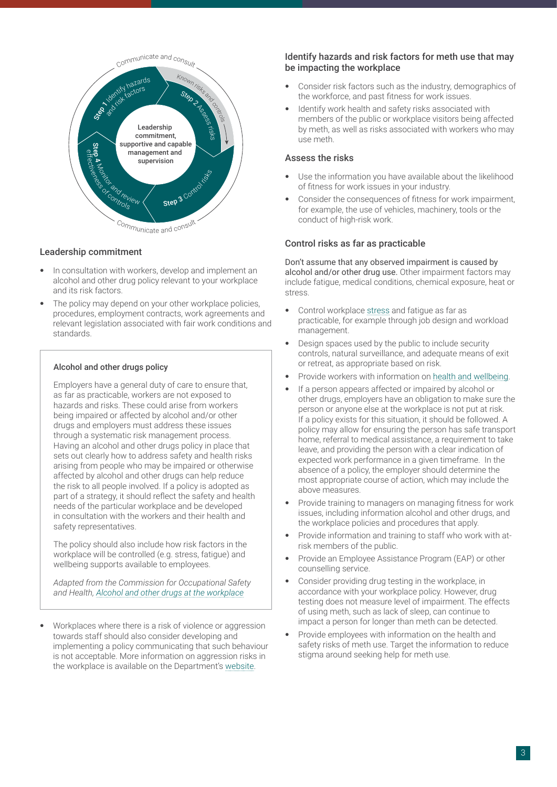

#### Leadership commitment

- In consultation with workers, develop and implement an alcohol and other drug policy relevant to your workplace and its risk factors.
- The policy may depend on your other workplace policies, procedures, employment contracts, work agreements and relevant legislation associated with fair work conditions and standards.

#### Alcohol and other drugs policy

Employers have a general duty of care to ensure that, as far as practicable, workers are not exposed to hazards and risks. These could arise from workers being impaired or affected by alcohol and/or other drugs and employers must address these issues through a systematic risk management process. Having an alcohol and other drugs policy in place that sets out clearly how to address safety and health risks arising from people who may be impaired or otherwise affected by alcohol and other drugs can help reduce the risk to all people involved. If a policy is adopted as part of a strategy, it should reflect the safety and health needs of the particular workplace and be developed in consultation with the workers and their health and safety representatives.

The policy should also include how risk factors in the workplace will be controlled (e.g. stress, fatigue) and wellbeing supports available to employees.

*Adapted from the Commission for Occupational Safety and Health, [Alcohol and other drugs at the workplace](https://www.commerce.wa.gov.au/publications/guidance-note-alcohol-and-other-drugs-workplace)*

• Workplaces where there is a risk of violence or aggression towards staff should also consider developing and implementing a policy communicating that such behaviour is not acceptable. More information on aggression risks in the workplace is available on the Department's [website](https://www.commerce.wa.gov.au/worksafe/aggression).

### Identify hazards and risk factors for meth use that may be impacting the workplace

- Consider risk factors such as the industry, demographics of the workforce, and past fitness for work issues.
- Identify work health and safety risks associated with members of the public or workplace visitors being affected by meth, as well as risks associated with workers who may use meth.

### Assess the risks

- Use the information you have available about the likelihood of fitness for work issues in your industry.
- Consider the consequences of fitness for work impairment, for example, the use of vehicles, machinery, tools or the conduct of high-risk work.

#### Control risks as far as practicable

Don't assume that any observed impairment is caused by alcohol and/or other drug use. Other impairment factors may include fatigue, medical conditions, chemical exposure, heat or stress.

- Control workplace [stress](https://www.commerce.wa.gov.au/worksafe/stress) and fatigue as far as practicable, for example through job design and workload management.
- Design spaces used by the public to include security controls, natural surveillance, and adequate means of exit or retreat, as appropriate based on risk.
- Provide workers with information on [health and wellbeing](https://livelighter.com.au/For-Professionals/Workplace-Health).
- If a person appears affected or impaired by alcohol or other drugs, employers have an obligation to make sure the person or anyone else at the workplace is not put at risk. If a policy exists for this situation, it should be followed. A policy may allow for ensuring the person has safe transport home, referral to medical assistance, a requirement to take leave, and providing the person with a clear indication of expected work performance in a given timeframe. In the absence of a policy, the employer should determine the most appropriate course of action, which may include the above measures.
- Provide training to managers on managing fitness for work issues, including information alcohol and other drugs, and the workplace policies and procedures that apply.
- Provide information and training to staff who work with atrisk members of the public.
- Provide an Employee Assistance Program (EAP) or other counselling service.
- Consider providing drug testing in the workplace, in accordance with your workplace policy. However, drug testing does not measure level of impairment. The effects of using meth, such as lack of sleep, can continue to impact a person for longer than meth can be detected.
- Provide employees with information on the health and safety risks of meth use. Target the information to reduce stigma around seeking help for meth use.